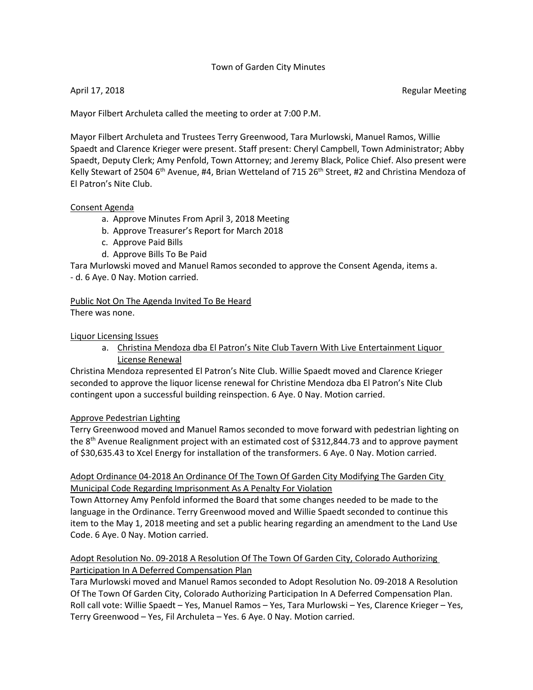### Town of Garden City Minutes

April 17, 2018 **Regular Meeting Regular Meeting Regular Meeting** 

Mayor Filbert Archuleta called the meeting to order at 7:00 P.M.

Mayor Filbert Archuleta and Trustees Terry Greenwood, Tara Murlowski, Manuel Ramos, Willie Spaedt and Clarence Krieger were present. Staff present: Cheryl Campbell, Town Administrator; Abby Spaedt, Deputy Clerk; Amy Penfold, Town Attorney; and Jeremy Black, Police Chief. Also present were Kelly Stewart of 2504 6<sup>th</sup> Avenue, #4, Brian Wetteland of 715 26<sup>th</sup> Street, #2 and Christina Mendoza of El Patron's Nite Club.

#### Consent Agenda

- a. Approve Minutes From April 3, 2018 Meeting
- b. Approve Treasurer's Report for March 2018
- c. Approve Paid Bills
- d. Approve Bills To Be Paid

Tara Murlowski moved and Manuel Ramos seconded to approve the Consent Agenda, items a. - d. 6 Aye. 0 Nay. Motion carried.

Public Not On The Agenda Invited To Be Heard

There was none.

#### Liquor Licensing Issues

a. Christina Mendoza dba El Patron's Nite Club Tavern With Live Entertainment Liquor License Renewal

Christina Mendoza represented El Patron's Nite Club. Willie Spaedt moved and Clarence Krieger seconded to approve the liquor license renewal for Christine Mendoza dba El Patron's Nite Club contingent upon a successful building reinspection. 6 Aye. 0 Nay. Motion carried.

#### Approve Pedestrian Lighting

Terry Greenwood moved and Manuel Ramos seconded to move forward with pedestrian lighting on the 8<sup>th</sup> Avenue Realignment project with an estimated cost of \$312,844.73 and to approve payment of \$30,635.43 to Xcel Energy for installation of the transformers. 6 Aye. 0 Nay. Motion carried.

# Adopt Ordinance 04-2018 An Ordinance Of The Town Of Garden City Modifying The Garden City Municipal Code Regarding Imprisonment As A Penalty For Violation

Town Attorney Amy Penfold informed the Board that some changes needed to be made to the language in the Ordinance. Terry Greenwood moved and Willie Spaedt seconded to continue this item to the May 1, 2018 meeting and set a public hearing regarding an amendment to the Land Use Code. 6 Aye. 0 Nay. Motion carried.

# Adopt Resolution No. 09-2018 A Resolution Of The Town Of Garden City, Colorado Authorizing Participation In A Deferred Compensation Plan

Tara Murlowski moved and Manuel Ramos seconded to Adopt Resolution No. 09-2018 A Resolution Of The Town Of Garden City, Colorado Authorizing Participation In A Deferred Compensation Plan. Roll call vote: Willie Spaedt – Yes, Manuel Ramos – Yes, Tara Murlowski – Yes, Clarence Krieger – Yes, Terry Greenwood – Yes, Fil Archuleta – Yes. 6 Aye. 0 Nay. Motion carried.